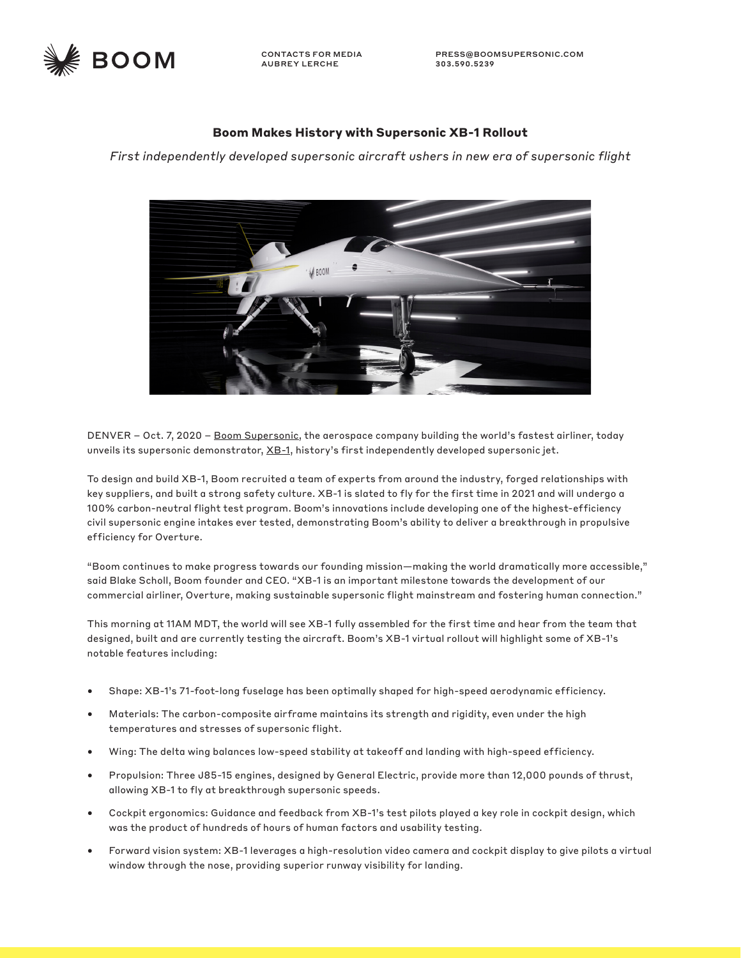

CONTACTS FOR MEDIA AUBREY LERCHE

## **Boom Makes History with Supersonic XB-1 Rollout**

*First independently developed supersonic aircraft ushers in new era of supersonic flight*



DENVER - Oct. 7, 2020 - [Boom Supersonic,](https://boomsupersonic.com/) the aerospace company building the world's fastest airliner, today unveils its supersonic demonstrator, [XB-1,](https://boomsupersonic.com/xb-1) history's first independently developed supersonic jet.

To design and build XB-1, Boom recruited a team of experts from around the industry, forged relationships with key suppliers, and built a strong safety culture. XB-1 is slated to fly for the first time in 2021 and will undergo a 100% carbon-neutral flight test program. Boom's innovations include developing one of the highest-efficiency civil supersonic engine intakes ever tested, demonstrating Boom's ability to deliver a breakthrough in propulsive efficiency for Overture.

"Boom continues to make progress towards our founding mission—making the world dramatically more accessible," said Blake Scholl, Boom founder and CEO. "XB-1 is an important milestone towards the development of our commercial airliner, Overture, making sustainable supersonic flight mainstream and fostering human connection."

This morning at 11AM MDT, the world will see XB-1 fully assembled for the first time and hear from the team that designed, built and are currently testing the aircraft. Boom's XB-1 virtual rollout will highlight some of XB-1's notable features including:

- Shape: XB-1's 71-foot-long fuselage has been optimally shaped for high-speed aerodynamic efficiency.
- Materials: The carbon-composite airframe maintains its strength and rigidity, even under the high temperatures and stresses of supersonic flight.
- Wing: The delta wing balances low-speed stability at takeoff and landing with high-speed efficiency.
- Propulsion: Three J85-15 engines, designed by General Electric, provide more than 12,000 pounds of thrust, allowing XB-1 to fly at breakthrough supersonic speeds.
- Cockpit ergonomics: Guidance and feedback from XB-1's test pilots played a key role in cockpit design, which was the product of hundreds of hours of human factors and usability testing.
- Forward vision system: XB-1 leverages a high-resolution video camera and cockpit display to give pilots a virtual window through the nose, providing superior runway visibility for landing.